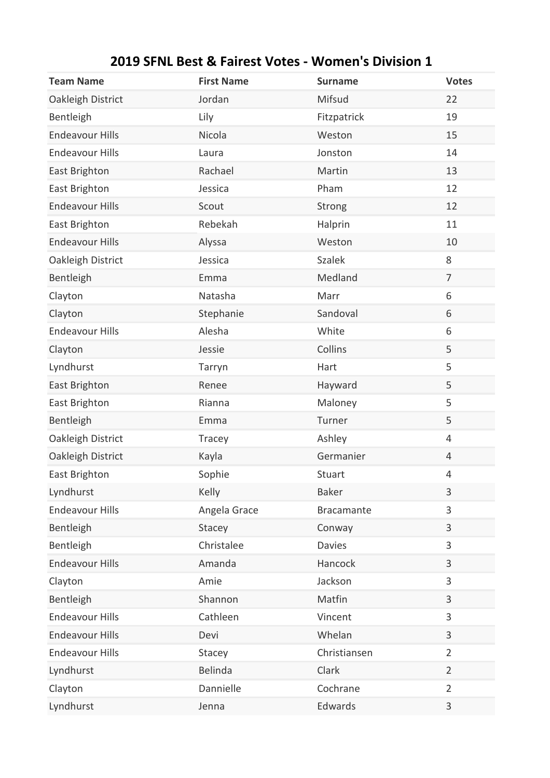| <b>Team Name</b>       | <b>First Name</b> | <b>Surname</b>    | <b>Votes</b>   |
|------------------------|-------------------|-------------------|----------------|
| Oakleigh District      | Jordan            | Mifsud            | 22             |
| Bentleigh              | Lily              | Fitzpatrick       | 19             |
| <b>Endeavour Hills</b> | Nicola            | Weston            | 15             |
| <b>Endeavour Hills</b> | Laura             | Jonston           | 14             |
| East Brighton          | Rachael           | Martin            | 13             |
| East Brighton          | Jessica           | Pham              | 12             |
| <b>Endeavour Hills</b> | Scout             | Strong            | 12             |
| East Brighton          | Rebekah           | Halprin           | 11             |
| <b>Endeavour Hills</b> | Alyssa            | Weston            | 10             |
| Oakleigh District      | Jessica           | <b>Szalek</b>     | 8              |
| Bentleigh              | Emma              | Medland           | $\overline{7}$ |
| Clayton                | Natasha           | Marr              | 6              |
| Clayton                | Stephanie         | Sandoval          | 6              |
| <b>Endeavour Hills</b> | Alesha            | White             | 6              |
| Clayton                | Jessie            | Collins           | 5              |
| Lyndhurst              | Tarryn            | Hart              | 5              |
| East Brighton          | Renee             | Hayward           | 5              |
| East Brighton          | Rianna            | Maloney           | 5              |
| Bentleigh              | Emma              | Turner            | 5              |
| Oakleigh District      | Tracey            | Ashley            | $\overline{4}$ |
| Oakleigh District      | Kayla             | Germanier         | 4              |
| East Brighton          | Sophie            | Stuart            | 4              |
| Lyndhurst              | Kelly             | <b>Baker</b>      | 3              |
| <b>Endeavour Hills</b> | Angela Grace      | <b>Bracamante</b> | 3              |
| Bentleigh              | Stacey            | Conway            | 3              |
| Bentleigh              | Christalee        | <b>Davies</b>     | 3              |
| <b>Endeavour Hills</b> | Amanda            | Hancock           | 3              |
| Clayton                | Amie              | Jackson           | 3              |
| Bentleigh              | Shannon           | Matfin            | 3              |
| <b>Endeavour Hills</b> | Cathleen          | Vincent           | 3              |
| <b>Endeavour Hills</b> | Devi              | Whelan            | 3              |
| <b>Endeavour Hills</b> | Stacey            | Christiansen      | $\overline{2}$ |
| Lyndhurst              | <b>Belinda</b>    | Clark             | $\overline{2}$ |
| Clayton                | Dannielle         | Cochrane          | $\overline{2}$ |
| Lyndhurst              | Jenna             | Edwards           | 3              |

## **2019 SFNL Best & Fairest Votes - Women's Division 1**